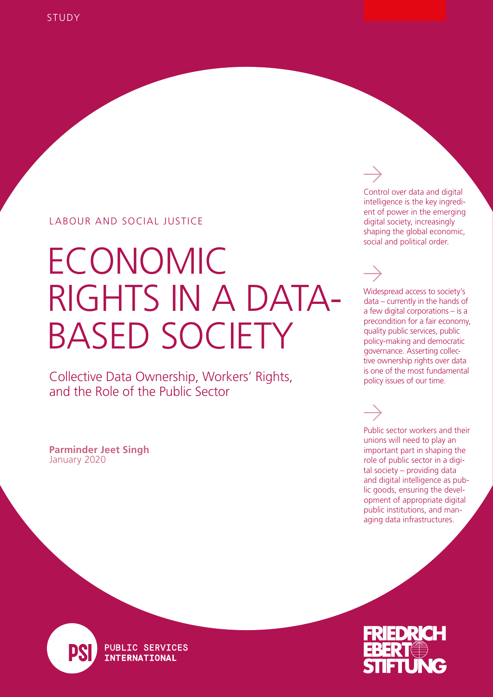### LABOUR AND SOCIAL JUSTICE

# ECONOMIC RIGHTS IN A DATA-BASED SOCIETY

Collective Data Ownership, Workers' Rights, and the Role of the Public Sector

January 2020 **Parminder Jeet Singh** Control over data and digital intelligence is the key ingredient of power in the emerging digital society, increasingly shaping the global economic, social and political order.

Widespread access to society's data – currently in the hands of a few digital corporations – is a precondition for a fair economy, quality public services, public policy-making and democratic governance. Asserting collective ownership rights over data is one of the most fundamental policy issues of our time.

Public sector workers and their unions will need to play an important part in shaping the role of public sector in a digital society – providing data and digital intelligence as public goods, ensuring the development of appropriate digital public institutions, and managing data infrastructures.



**PUBLIC SERVICES INTERNATIONAL** 

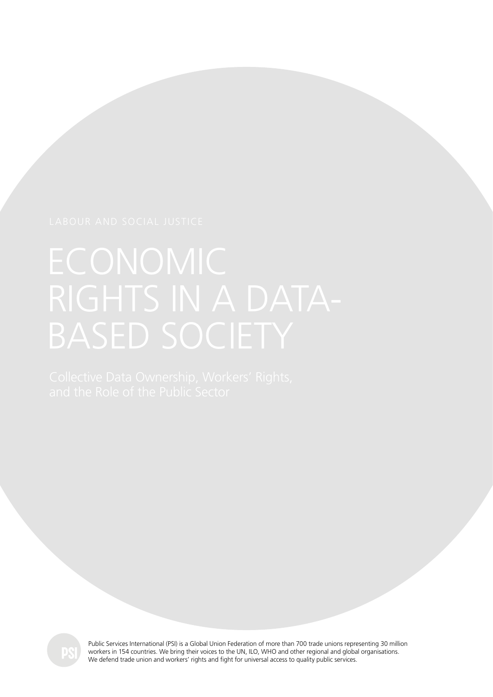

Public Services International (PSI) is a Global Union Federation of more than 700 trade unions representing 30 million workers in 154 countries. We bring their voices to the UN, ILO, WHO and other regional and global organisations. We defend trade union and workers' rights and fight for universal access to quality public services.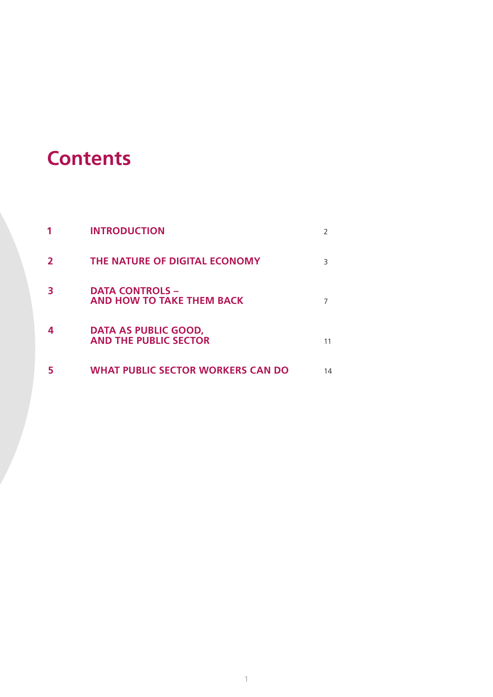## **Contents**

|   | <b>INTRODUCTION</b>                                  |    |
|---|------------------------------------------------------|----|
| 2 | THE NATURE OF DIGITAL ECONOMY                        | Β  |
|   | <b>DATA CONTROLS -</b><br>AND HOW TO TAKE THEM BACK  |    |
|   | DATA AS PUBLIC GOOD,<br><b>AND THE PUBLIC SECTOR</b> | 11 |
|   | WHAT PUBLIC SECTOR WORKERS CAN DO                    | 14 |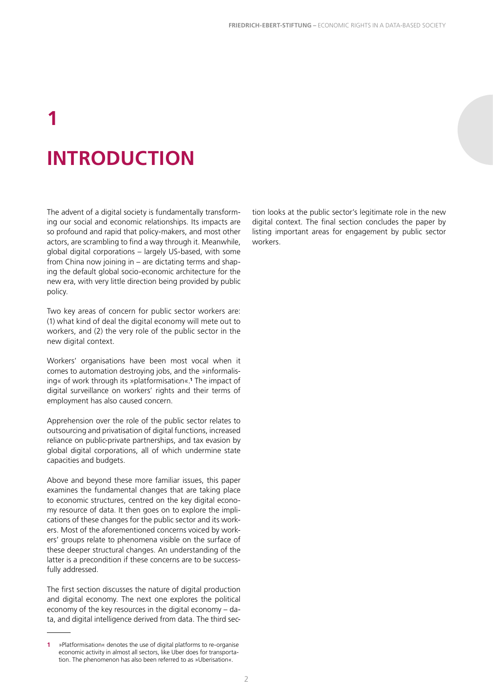# **1 INTRODUCTION**

The advent of a digital society is fundamentally transforming our social and economic relationships. Its impacts are so profound and rapid that policy-makers, and most other actors, are scrambling to find a way through it. Meanwhile, global digital corporations – largely US-based, with some from China now joining in – are dictating terms and shaping the default global socio-economic architecture for the new era, with very little direction being provided by public policy.

Two key areas of concern for public sector workers are: (1) what kind of deal the digital economy will mete out to workers, and (2) the very role of the public sector in the new digital context.

Workers' organisations have been most vocal when it comes to automation destroying jobs, and the »informalising« of work through its »platformisation«.**<sup>1</sup>** The impact of digital surveillance on workers' rights and their terms of employment has also caused concern.

Apprehension over the role of the public sector relates to outsourcing and privatisation of digital functions, increased reliance on public-private partnerships, and tax evasion by global digital corporations, all of which undermine state capacities and budgets.

Above and beyond these more familiar issues, this paper examines the fundamental changes that are taking place to economic structures, centred on the key digital economy resource of data. It then goes on to explore the implications of these changes for the public sector and its workers. Most of the aforementioned concerns voiced by workers' groups relate to phenomena visible on the surface of these deeper structural changes. An understanding of the latter is a precondition if these concerns are to be successfully addressed.

The first section discusses the nature of digital production and digital economy. The next one explores the political economy of the key resources in the digital economy – data, and digital intelligence derived from data. The third section looks at the public sector's legitimate role in the new digital context. The final section concludes the paper by listing important areas for engagement by public sector workers.

**<sup>1</sup>** »Platformisation« denotes the use of digital platforms to re-organise economic activity in almost all sectors, like Uber does for transportation. The phenomenon has also been referred to as »Uberisation«.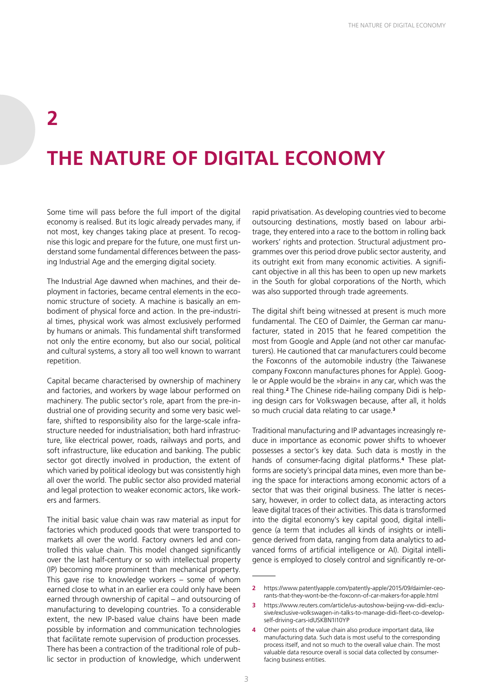## **2 THE NATURE OF DIGITAL ECONOMY**

Some time will pass before the full import of the digital economy is realised. But its logic already pervades many, if not most, key changes taking place at present. To recognise this logic and prepare for the future, one must first understand some fundamental differences between the passing Industrial Age and the emerging digital society.

The Industrial Age dawned when machines, and their deployment in factories, became central elements in the economic structure of society. A machine is basically an embodiment of physical force and action. In the pre-industrial times, physical work was almost exclusively performed by humans or animals. This fundamental shift transformed not only the entire economy, but also our social, political and cultural systems, a story all too well known to warrant repetition.

Capital became characterised by ownership of machinery and factories, and workers by wage labour performed on machinery. The public sector's role, apart from the pre-industrial one of providing security and some very basic welfare, shifted to responsibility also for the large-scale infrastructure needed for industrialisation; both hard infrastructure, like electrical power, roads, railways and ports, and soft infrastructure, like education and banking. The public sector got directly involved in production, the extent of which varied by political ideology but was consistently high all over the world. The public sector also provided material and legal protection to weaker economic actors, like workers and farmers.

The initial basic value chain was raw material as input for factories which produced goods that were transported to markets all over the world. Factory owners led and controlled this value chain. This model changed significantly over the last half-century or so with intellectual property (IP) becoming more prominent than mechanical property. This gave rise to knowledge workers – some of whom earned close to what in an earlier era could only have been earned through ownership of capital – and outsourcing of manufacturing to developing countries. To a considerable extent, the new IP-based value chains have been made possible by information and communication technologies that facilitate remote supervision of production processes. There has been a contraction of the traditional role of public sector in production of knowledge, which underwent

rapid privatisation. As developing countries vied to become outsourcing destinations, mostly based on labour arbitrage, they entered into a race to the bottom in rolling back workers' rights and protection. Structural adjustment programmes over this period drove public sector austerity, and its outright exit from many economic activities. A significant objective in all this has been to open up new markets in the South for global corporations of the North, which was also supported through trade agreements.

The digital shift being witnessed at present is much more fundamental. The CEO of Daimler, the German car manufacturer, stated in 2015 that he feared competition the most from Google and Apple (and not other car manufacturers). He cautioned that car manufacturers could become the Foxconns of the automobile industry (the Taiwanese company Foxconn manufactures phones for Apple). Google or Apple would be the »brain« in any car, which was the real thing.**<sup>2</sup>** The Chinese ride-hailing company Didi is helping design cars for Volkswagen because, after all, it holds so much crucial data relating to car usage.**<sup>3</sup>**

Traditional manufacturing and IP advantages increasingly reduce in importance as economic power shifts to whoever possesses a sector's key data. Such data is mostly in the hands of consumer-facing digital platforms.**<sup>4</sup>** These platforms are society's principal data mines, even more than being the space for interactions among economic actors of a sector that was their original business. The latter is necessary, however, in order to collect data, as interacting actors leave digital traces of their activities. This data is transformed into the digital economy's key capital good, digital intelligence (a term that includes all kinds of insights or intelligence derived from data, ranging from data analytics to advanced forms of artificial intelligence or AI). Digital intelligence is employed to closely control and significantly re-or-

**<sup>2</sup>** [https://www.patentlyapple.com/patently-apple/2015/09/daimler-ceo](https://www.patentlyapple.com/patently-apple/2015/09/daimler-ceo-rants-that-they-wont-be-the-foxconn-of-car-makers-for-apple.html)[rants-that-they-wont-be-the-foxconn-of-car-makers-for-apple.html](https://www.patentlyapple.com/patently-apple/2015/09/daimler-ceo-rants-that-they-wont-be-the-foxconn-of-car-makers-for-apple.html)

**<sup>3</sup>** [https://www.reuters.com/article/us-autoshow-beijing-vw-didi-exclu](https://www.reuters.com/article/us-autoshow-beijing-vw-didi-exclusive/exclusive-volkswagen-in-talks-to-manage-didi-fleet-co-develop-self-driving-cars-idUSKBN1I10YP)[sive/exclusive-volkswagen-in-talks-to-manage-didi-fleet-co-develop](https://www.reuters.com/article/us-autoshow-beijing-vw-didi-exclusive/exclusive-volkswagen-in-talks-to-manage-didi-fleet-co-develop-self-driving-cars-idUSKBN1I10YP)[self-driving-cars-idUSKBN1I10YP](https://www.reuters.com/article/us-autoshow-beijing-vw-didi-exclusive/exclusive-volkswagen-in-talks-to-manage-didi-fleet-co-develop-self-driving-cars-idUSKBN1I10YP)

**<sup>4</sup>** Other points of the value chain also produce important data, like manufacturing data. Such data is most useful to the corresponding process itself, and not so much to the overall value chain. The most valuable data resource overall is social data collected by consumerfacing business entities.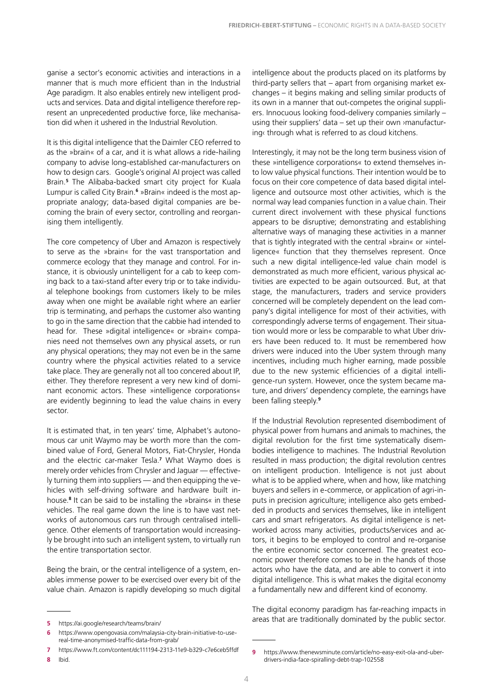ganise a sector's economic activities and interactions in a manner that is much more efficient than in the Industrial Age paradigm. It also enables entirely new intelligent products and services. Data and digital intelligence therefore represent an unprecedented productive force, like mechanisation did when it ushered in the Industrial Revolution.

It is this digital intelligence that the Daimler CEO referred to as the »brain« of a car, and it is what allows a ride-hailing company to advise long-established car-manufacturers on how to design cars. Google's original AI project was called Brain.**<sup>5</sup>** The Alibaba-backed smart city project for Kuala Lumpur is called City Brain.**<sup>6</sup>** »Brain« indeed is the most appropriate analogy; data-based digital companies are becoming the brain of every sector, controlling and reorganising them intelligently.

The core competency of Uber and Amazon is respectively to serve as the »brain« for the vast transportation and commerce ecology that they manage and control. For instance, it is obviously unintelligent for a cab to keep coming back to a taxi-stand after every trip or to take individual telephone bookings from customers likely to be miles away when one might be available right where an earlier trip is terminating, and perhaps the customer also wanting to go in the same direction that the cabbie had intended to head for. These »digital intelligence« or »brain« companies need not themselves own any physical assets, or run any physical operations; they may not even be in the same country where the physical activities related to a service take place. They are generally not all too concered about IP, either. They therefore represent a very new kind of dominant economic actors. These »intelligence corporations« are evidently beginning to lead the value chains in every sector.

It is estimated that, in ten years' time, Alphabet's autonomous car unit Waymo may be worth more than the combined value of Ford, General Motors, Fiat-Chrysler, Honda and the [electric car-maker Tesla.](https://www.ft.com/content/a2b8cf3a-1e14-11e9-b126-46fc3ad87c65) **7** What Waymo does is merely order vehicles from Chrysler and Jaguar — effectively turning them into suppliers — and then equipping the vehicles with self-driving software and hardware built inhouse.**<sup>8</sup>** It can be said to be installing the »brains« in these vehicles. The real game down the line is to have vast networks of autonomous cars run through centralised intelligence. Other elements of transportation would increasingly be brought into such an intelligent system, to virtually run the entire transportation sector.

Being the brain, or the central intelligence of a system, enables immense power to be exercised over every bit of the value chain. Amazon is rapidly developing so much digital intelligence about the products placed on its platforms by third-party sellers that – apart from organising market exchanges – it begins making and selling similar products of its own in a manner that out-competes the original suppliers. Innocuous looking food-delivery companies similarly – using their suppliers' data – set up their own ›manufacturing‹ through what is referred to as cloud kitchens.

Interestingly, it may not be the long term business vision of these »intelligence corporations« to extend themselves into low value physical functions. Their intention would be to focus on their core competence of data based digital intelligence and outsource most other activities, which is the normal way lead companies function in a value chain. Their current direct involvement with these physical functions appears to be disruptive; demonstrating and establishing alternative ways of managing these activities in a manner that is tightly integrated with the central »brain« or »intelligence« function that they themselves represent. Once such a new digital intelligence-led value chain model is demonstrated as much more efficient, various physical activities are expected to be again outsourced. But, at that stage, the manufacturers, traders and service providers concerned will be completely dependent on the lead company's digital intelligence for most of their activities, with correspondingly adverse terms of engagement. Their situation would more or less be comparable to what Uber drivers have been reduced to. It must be remembered how drivers were induced into the Uber system through many incentives, including much higher earning, made possible due to the new systemic efficiencies of a digital intelligence-run system. However, once the system became mature, and drivers' dependency complete, the earnings have been falling steeply.**<sup>9</sup>**

If the Industrial Revolution represented disembodiment of physical power from humans and animals to machines, the digital revolution for the first time systematically disembodies intelligence to machines. The Industrial Revolution resulted in mass production; the digital revolution centres on intelligent production. Intelligence is not just about what is to be applied where, when and how, like matching buyers and sellers in e-commerce, or application of agri-inputs in precision agriculture; intelligence also gets embedded in products and services themselves, like in intelligent cars and smart refrigerators. As digital intelligence is networked across many activities, products/services and actors, it begins to be employed to control and re-organise the entire economic sector concerned. The greatest economic power therefore comes to be in the hands of those actors who have the data, and are able to convert it into digital intelligence. This is what makes the digital economy a fundamentally new and different kind of economy.

The digital economy paradigm has far-reaching impacts in areas that are traditionally dominated by the public sector.

**9** [https://www.thenewsminute.com/article/no-easy-exit-ola-and-uber-](https://www.thenewsminute.com/article/no-easy-exit-ola-and-uber-drivers-india-face-spiralling-debt-trap-102558)

4

**<sup>5</sup>** <https://ai.google/research/teams/brain/>

**<sup>6</sup>** [https://www.opengovasia.com/malaysia-city-brain-initiative-to-use](https://www.opengovasia.com/malaysia-city-brain-initiative-to-use-real-time-anonymised-traffic-data-from-grab/)[real-time-anonymised-traffic-data-from-grab/](https://www.opengovasia.com/malaysia-city-brain-initiative-to-use-real-time-anonymised-traffic-data-from-grab/)

**<sup>7</sup>** <https://www.ft.com/content/dc111194-2313-11e9-b329-c7e6ceb5ffdf> **8** Ibid.

[drivers-india-face-spiralling-debt-trap-102558](https://www.thenewsminute.com/article/no-easy-exit-ola-and-uber-drivers-india-face-spiralling-debt-trap-102558)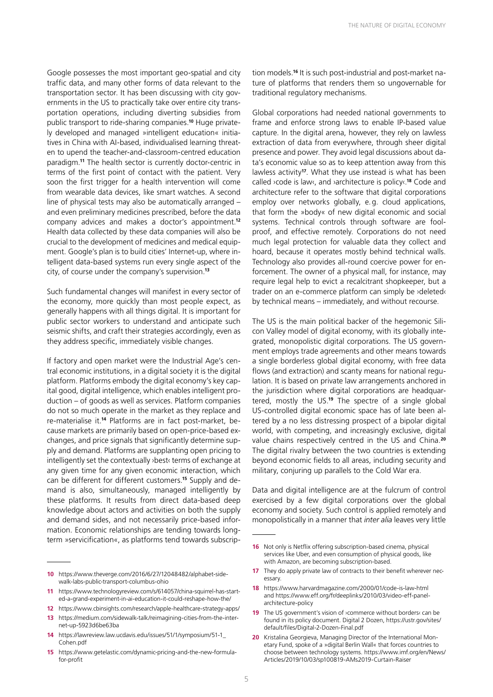Google possesses the most important geo-spatial and city traffic data, and many other forms of data relevant to the transportation sector. It has been discussing with city governments in the US to practically take over entire city transportation operations, including diverting subsidies from public transport to ride-sharing companies.**10** Huge privately developed and managed »intelligent education« initiatives in China with AI-based, individualised learning threaten to upend the teacher-and-classroom-centred education paradigm.**<sup>11</sup>** The health sector is currently doctor-centric in terms of the first point of contact with the patient. Very soon the first trigger for a health intervention will come from wearable data devices, like smart watches. A second line of physical tests may also be automatically arranged – and even preliminary medicines prescribed, before the data company advices and makes a doctor's appointment.**<sup>12</sup>** Health data collected by these data companies will also be crucial to the development of medicines and medical equipment. Google's plan is to build cities' Internet-up, where intelligent data-based systems run every single aspect of the city, of course under the company's supervision.**<sup>13</sup>**

Such fundamental changes will manifest in every sector of the economy, more quickly than most people expect, as generally happens with all things digital. It is important for public sector workers to understand and anticipate such seismic shifts, and craft their strategies accordingly, even as they address specific, immediately visible changes.

If factory and open market were the Industrial Age's central economic institutions, in a digital society it is the digital platform. Platforms embody the digital economy's key capital good, digital intelligence, which enables intelligent production – of goods as well as services. Platform companies do not so much operate in the market as they replace and re-materialise it.**14** Platforms are in fact post-market, because markets are primarily based on open-price-based exchanges, and price signals that significantly determine supply and demand. Platforms are supplanting open pricing to intelligently set the contextually ›best‹ terms of exchange at any given time for any given economic interaction, which can be different for different customers.**15** Supply and demand is also, simultaneously, managed intelligently by these platforms. It results from direct data-based deep knowledge about actors and activities on both the supply and demand sides, and not necessarily price-based information. Economic relationships are tending towards longterm »servicification«, as platforms tend towards subscrip-

- **11** [https://www.technologyreview.com/s/614057/china-squirrel-has-start](https://www.technologyreview.com/s/614057/china-squirrel-has-started-a-grand-experiment-in-ai-education-it-could-reshape-how-the/)[ed-a-grand-experiment-in-ai-education-it-could-reshape-how-the/](https://www.technologyreview.com/s/614057/china-squirrel-has-started-a-grand-experiment-in-ai-education-it-could-reshape-how-the/)
- **12** <https://www.cbinsights.com/research/apple-healthcare-strategy-apps/> **13** [https://medium.com/sidewalk-talk/reimagining-cities-from-the-inter-](https://medium.com/sidewalk-talk/reimagining-cities-from-the-internet-up-5923d6be63ba)
- [net-up-5923d6be63ba](https://medium.com/sidewalk-talk/reimagining-cities-from-the-internet-up-5923d6be63ba)
- **14** [https://lawreview.law.ucdavis.edu/issues/51/1/symposium/51-1\\_](https://lawreview.law.ucdavis.edu/issues/51/1/symposium/51-1_Cohen.pdf) [Cohen.pdf](https://lawreview.law.ucdavis.edu/issues/51/1/symposium/51-1_Cohen.pdf)
- **15** [https://www.getelastic.com/dynamic-pricing-and-the-new-formula](https://www.getelastic.com/dynamic-pricing-and-the-new-formula-for-profit)[for-profit](https://www.getelastic.com/dynamic-pricing-and-the-new-formula-for-profit)

tion models.**16** It is such post-industrial and post-market nature of platforms that renders them so ungovernable for traditional regulatory mechanisms.

Global corporations had needed national governments to frame and enforce strong laws to enable IP-based value capture. In the digital arena, however, they rely on lawless extraction of data from everywhere, through sheer digital presence and power. They avoid legal discussions about data's economic value so as to keep attention away from this lawless activity**<sup>17</sup>**. What they use instead is what has been called ›code is law‹, and ›architecture is policy‹.**<sup>18</sup>** Code and architecture refer to the software that digital corporations employ over networks globally, e.g. cloud applications, that form the »body« of new digital economic and social systems. Technical controls through software are foolproof, and effective remotely. Corporations do not need much legal protection for valuable data they collect and hoard, because it operates mostly behind technical walls. Technology also provides all-round coercive power for enforcement. The owner of a physical mall, for instance, may require legal help to evict a recalcitrant shopkeeper, but a trader on an e-commerce platform can simply be ›deleted‹ by technical means – immediately, and without recourse.

The US is the main political backer of the hegemonic Silicon Valley model of digital economy, with its globally integrated, monopolistic digital corporations. The US government employs trade agreements and other means towards a single borderless global digital economy, with free data flows (and extraction) and scanty means for national regulation. It is based on private law arrangements anchored in the jurisdiction where digital corporations are headquartered, mostly the US.**<sup>19</sup>** The spectre of a single global US-controlled digital economic space has of late been altered by a no less distressing prospect of a bipolar digital world, with competing, and increasingly exclusive, digital value chains respectively centred in the US and China.**<sup>20</sup>** The digital rivalry between the two countries is extending beyond economic fields to all areas, including security and military, conjuring up parallels to the Cold War era.

Data and digital intelligence are at the fulcrum of control exercised by a few digital corporations over the global economy and society. Such control is applied remotely and monopolistically in a manner that *inter alia* leaves very little

- **18** <https://www.harvardmagazine.com/2000/01/code-is-law-html> and [https://www.eff.org/fr/deeplinks/2010/03/video-eff-panel](https://www.eff.org/fr/deeplinks/2010/03/video-eff-panel-architecture-policy)[architecture-policy](https://www.eff.org/fr/deeplinks/2010/03/video-eff-panel-architecture-policy)
- **19** The US government's vision of **>commerce** without borders< can be found in its policy document. Digital 2 Dozen, [https://ustr.gov/sites/](https://ustr.gov/sites/default/files/Digital-2-Dozen-Final.pdf) [default/files/Digital-2-Dozen-Final.pdf](https://ustr.gov/sites/default/files/Digital-2-Dozen-Final.pdf)
- **20** Kristalina Georgieva, Managing Director of the International Monetary Fund, spoke of a »digital Berlin Wall« that forces countries to choose between technology systems. [https://www.imf.org/en/News/](https://www.imf.org/en/News/Articles/2019/10/03/sp100819-AMs2019-Curtain-Raiser) [Articles/2019/10/03/sp100819-AMs2019-Curtain-Raiser](https://www.imf.org/en/News/Articles/2019/10/03/sp100819-AMs2019-Curtain-Raiser)

**<sup>10</sup>** [https://www.theverge.com/2016/6/27/12048482/alphabet-side](https://www.theverge.com/2016/6/27/12048482/alphabet-sidewalk-labs-public-transport-columbus-ohio)[walk-labs-public-transport-columbus-ohio](https://www.theverge.com/2016/6/27/12048482/alphabet-sidewalk-labs-public-transport-columbus-ohio)

**<sup>16</sup>** Not only is Netflix offering subscription-based cinema, physical services like Uber, and even consumption of physical goods, like with Amazon, are becoming subscription-based.

**<sup>17</sup>** They do apply private law of contracts to their benefit wherever necessary.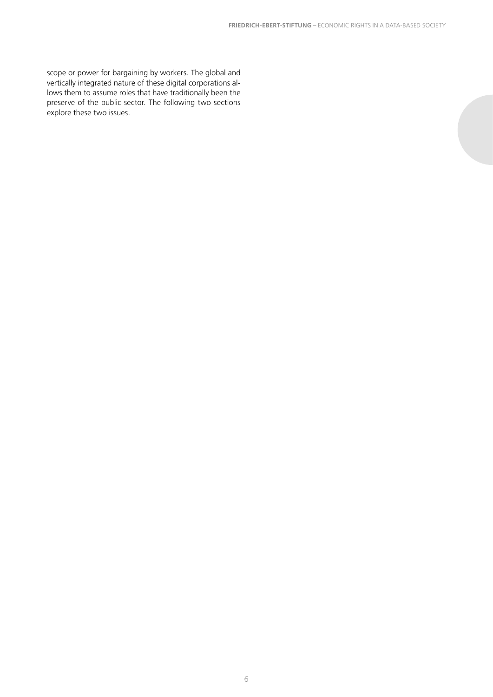scope or power for bargaining by workers. The global and vertically integrated nature of these digital corporations allows them to assume roles that have traditionally been the preserve of the public sector. The following two sections explore these two issues.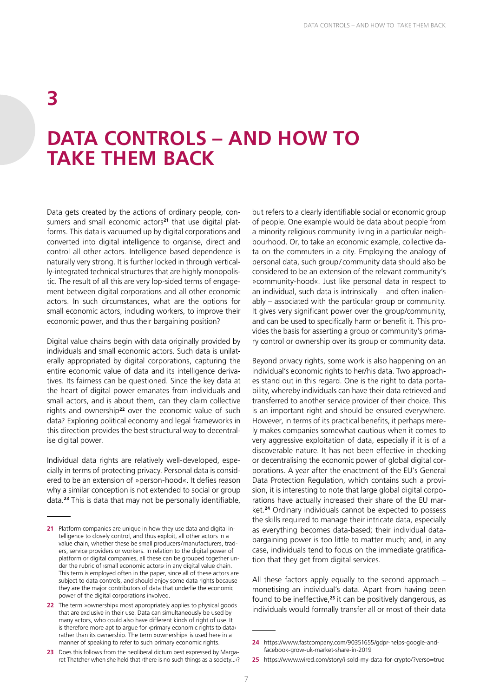### **3**

### **DATA CONTROLS – AND HOW TO TAKE THEM BACK**

Data gets created by the actions of ordinary people, consumers and small economic actors**21** that use digital platforms. This data is vacuumed up by digital corporations and converted into digital intelligence to organise, direct and control all other actors. Intelligence based dependence is naturally very strong. It is further locked in through vertically-integrated technical structures that are highly monopolistic. The result of all this are very lop-sided terms of engagement between digital corporations and all other economic actors. In such circumstances, what are the options for small economic actors, including workers, to improve their economic power, and thus their bargaining position?

Digital value chains begin with data originally provided by individuals and small economic actors. Such data is unilaterally appropriated by digital corporations, capturing the entire economic value of data and its intelligence derivatives. Its fairness can be questioned. Since the key data at the heart of digital power emanates from individuals and small actors, and is about them, can they claim collective rights and ownership**<sup>22</sup>** over the economic value of such data? Exploring political economy and legal frameworks in this direction provides the best structural way to decentralise digital power.

Individual data rights are relatively well-developed, especially in terms of protecting privacy. Personal data is considered to be an extension of »person-hood«. It defies reason why a similar conception is not extended to social or group data.**<sup>23</sup>** This is data that may not be personally identifiable,

but refers to a clearly identifiable social or economic group of people. One example would be data about people from a minority religious community living in a particular neighbourhood. Or, to take an economic example, collective data on the commuters in a city. Employing the analogy of personal data, such group/ community data should also be considered to be an extension of the relevant community's »community-hood«. Just like personal data in respect to an individual, such data is intrinsically – and often inalienably – associated with the particular group or community. It gives very significant power over the group/community, and can be used to specifically harm or benefit it. This provides the basis for asserting a group or community's primary control or ownership over its group or community data.

Beyond privacy rights, some work is also happening on an individual's economic rights to her/his data. Two approaches stand out in this regard. One is the right to data portability, whereby individuals can have their data retrieved and transferred to another service provider of their choice. This is an important right and should be ensured everywhere. However, in terms of its practical benefits, it perhaps merely makes companies somewhat cautious when it comes to very aggressive exploitation of data, especially if it is of a discoverable nature. It has not been effective in checking or decentralising the economic power of global digital corporations. A year after the enactment of the EU's General Data Protection Regulation, which contains such a provision, it is interesting to note that large global digital corporations have actually increased their share of the EU market.**<sup>24</sup>** Ordinary individuals cannot be expected to possess the skills required to manage their intricate data, especially as everything becomes data-based; their individual databargaining power is too little to matter much; and, in any case, individuals tend to focus on the immediate gratification that they get from digital services.

All these factors apply equally to the second approach – monetising an individual's data. Apart from having been found to be ineffective,**<sup>25</sup>** it can be positively dangerous, as individuals would formally transfer all or most of their data

**<sup>21</sup>** Platform companies are unique in how they use data and digital intelligence to closely control, and thus exploit, all other actors in a value chain, whether these be small producers/manufacturers, traders, service providers or workers. In relation to the digital power of platform or digital companies, all these can be grouped together under the rubric of ›small economic actors‹ in any digital value chain. This term is employed often in the paper, since all of these actors are subject to data controls, and should enjoy some data rights because they are the major contributors of data that underlie the economic power of the digital corporations involved.

**<sup>22</sup>** The term »ownership« most appropriately applies to physical goods that are exclusive in their use. Data can simultaneously be used by many actors, who could also have different kinds of right of use. It is therefore more apt to argue for >primary economic rights to data‹ rather than its ownership. The term »ownership« is used here in a manner of speaking to refer to such primary economic rights.

**<sup>23</sup>** Does this follows from the neoliberal dictum best expressed by Margaret Thatcher when she held that ›there is no such things as a society...‹?

**<sup>24</sup>** [https://www.fastcompany.com/90351655/gdpr-helps-google-and](https://www.fastcompany.com/90351655/gdpr-helps-google-and-facebook-grow-uk-market-share-in-2019)[facebook-grow-uk-market-share-in-2019](https://www.fastcompany.com/90351655/gdpr-helps-google-and-facebook-grow-uk-market-share-in-2019)

**<sup>25</sup>** <https://www.wired.com/story/i-sold-my-data-for-crypto/?verso=true>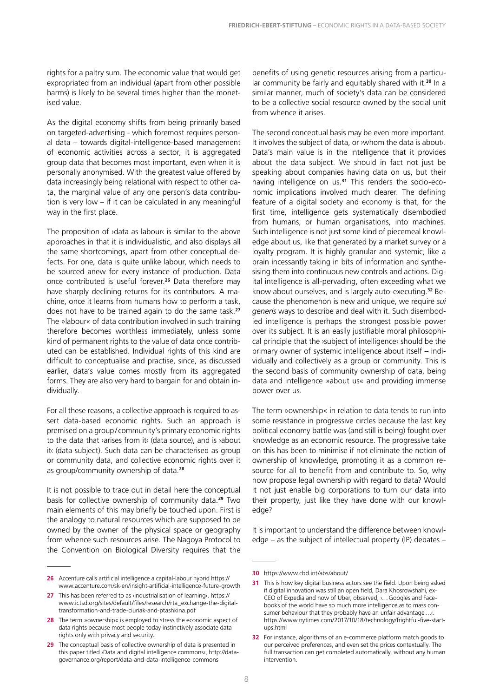rights for a paltry sum. The economic value that would get expropriated from an individual (apart from other possible harms) is likely to be several times higher than the monetised value.

As the digital economy shifts from being primarily based on targeted-advertising - which foremost requires personal data – towards digital-intelligence-based management of economic activities across a sector, it is aggregated group data that becomes most important, even when it is personally anonymised. With the greatest value offered by data increasingly being relational with respect to other data, the marginal value of any one person's data contribution is very low – if it can be calculated in any meaningful way in the first place.

The proposition of  $\lambda$  data as labour is similar to the above approaches in that it is individualistic, and also displays all the same shortcomings, apart from other conceptual defects. For one, data is quite unlike labour, which needs to be sourced anew for every instance of production. Data once contributed is useful forever.**<sup>26</sup>** Data therefore may have sharply declining returns for its contributors. A machine, once it learns from humans how to perform a task, does not have to be trained again to do the same task.**<sup>27</sup>** The »labour« of data contribution involved in such training therefore becomes worthless immediately, unless some kind of permanent rights to the value of data once contributed can be established. Individual rights of this kind are difficult to conceptualise and practise, since, as discussed earlier, data's value comes mostly from its aggregated forms. They are also very hard to bargain for and obtain individually.

For all these reasons, a collective approach is required to assert data-based economic rights. Such an approach is premised on a group/ community's primary economic rights to the data that ›arises from it‹ (data source), and is ›about it‹ (data subject). Such data can be characterised as group or community data, and collective economic rights over it as group/community ownership of data.**<sup>28</sup>**

It is not possible to trace out in detail here the conceptual basis for collective ownership of community data.**<sup>29</sup>** Two main elements of this may briefly be touched upon. First is the analogy to natural resources which are supposed to be owned by the owner of the physical space or geography from whence such resources arise. The Nagoya Protocol to the Convention on Biological Diversity requires that the

benefits of using genetic resources arising from a particular community be fairly and equitably shared with it.**<sup>30</sup>** In a similar manner, much of society's data can be considered to be a collective social resource owned by the social unit from whence it arises.

The second conceptual basis may be even more important. It involves the subject of data, or ›whom the data is about‹. Data's main value is in the intelligence that it provides about the data subject. We should in fact not just be speaking about companies having data on us, but their having intelligence on us.**31** This renders the socio-economic implications involved much clearer. The defining feature of a digital society and economy is that, for the first time, intelligence gets systematically disembodied from humans, or human organisations, into machines. Such intelligence is not just some kind of piecemeal knowledge about us, like that generated by a market survey or a loyalty program. It is highly granular and systemic, like a brain incessantly taking in bits of information and synthesising them into continuous new controls and actions. Digital intelligence is all-pervading, often exceeding what we know about ourselves, and is largely auto-executing.**32** Because the phenomenon is new and unique, we require *sui generis* ways to describe and deal with it. Such disembodied intelligence is perhaps the strongest possible power over its subject. It is an easily justifiable moral philosophical principle that the ›subject of intelligence‹ should be the primary owner of systemic intelligence about itself – individually and collectively as a group or community. This is the second basis of community ownership of data, being data and intelligence »about us« and providing immense power over us.

The term »ownership« in relation to data tends to run into some resistance in progressive circles because the last key political economy battle was (and still is being) fought over knowledge as an economic resource. The progressive take on this has been to minimise if not eliminate the notion of ownership of knowledge, promoting it as a common resource for all to benefit from and contribute to. So, why now propose legal ownership with regard to data? Would it not just enable big corporations to turn our data into their property, just like they have done with our knowledge?

It is important to understand the difference between knowledge – as the subject of intellectual property (IP) debates –

**<sup>26</sup>** Accenture calls artificial intelligence a capital-labour hybrid [https://](https://www.accenture.com/sk-en/insight-artificial-intelligence-future-growth) [www.accenture.com/sk-en/insight-artificial-intelligence-future-growth](https://www.accenture.com/sk-en/insight-artificial-intelligence-future-growth)

**<sup>27</sup>** This has been referred to as *industrialisation of learnings*. [https://](https://www.ictsd.org/sites/default/files/research/rta_exchange-the-digital-transformation-and-trade-ciuriak-and-ptashkina.pdf) [www.ictsd.org/sites/default/files/research/rta\\_exchange-the-digital](https://www.ictsd.org/sites/default/files/research/rta_exchange-the-digital-transformation-and-trade-ciuriak-and-ptashkina.pdf)[transformation-and-trade-ciuriak-and-ptashkina.pdf](https://www.ictsd.org/sites/default/files/research/rta_exchange-the-digital-transformation-and-trade-ciuriak-and-ptashkina.pdf)

**<sup>28</sup>** The term »ownership« is employed to stress the economic aspect of data rights because most people today instinctively associate data rights only with privacy and security.

**<sup>29</sup>** The conceptual basis of collective ownership of data is presented in this paper titled ›Data and digital intelligence commons‹, [http://data](http://datagovernance.org/report/data-and-data-intelligence-commons)[governance.org/report/data-and-data-intelligence-commons](http://datagovernance.org/report/data-and-data-intelligence-commons)

**<sup>30</sup>** [https://www.cbd.int/abs/about/](  https://www.cbd.int/abs/about/)

**<sup>31</sup>** This is how key digital business actors see the field. Upon being asked if digital innovation was still an open field, Dara Khosrowshahi, ex-CEO of Expedia and now of Uber, observed, ›…Googles and Facebooks of the world have so much more intelligence as to mass consumer behaviour that they probably have an unfair advantage..... [https://www.nytimes.com/2017/10/18/technology/frightful-five-start](https://www.nytimes.com/2017/10/18/technology/frightful-five-start-ups.html)[ups.html](https://www.nytimes.com/2017/10/18/technology/frightful-five-start-ups.html)

**<sup>32</sup>** For instance, algorithms of an e-commerce platform match goods to our perceived preferences, and even set the prices contextually. The full transaction can get completed automatically, without any human intervention.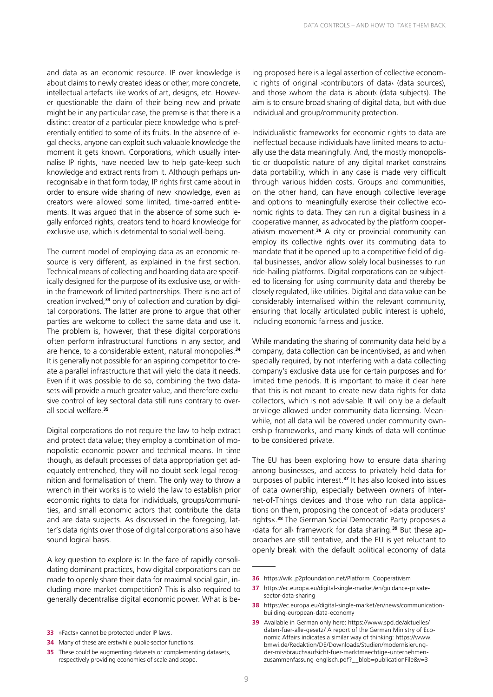and data as an economic resource. IP over knowledge is about claims to newly created ideas or other, more concrete, intellectual artefacts like works of art, designs, etc. However questionable the claim of their being new and private might be in any particular case, the premise is that there is a distinct creator of a particular piece knowledge who is preferentially entitled to some of its fruits. In the absence of legal checks, anyone can exploit such valuable knowledge the moment it gets known. Corporations, which usually internalise IP rights, have needed law to help gate-keep such knowledge and extract rents from it. Although perhaps unrecognisable in that form today, IP rights first came about in order to ensure wide sharing of new knowledge, even as creators were allowed some limited, time-barred entitlements. It was argued that in the absence of some such legally enforced rights, creators tend to hoard knowledge for exclusive use, which is detrimental to social well-being.

The current model of employing data as an economic resource is very different, as explained in the first section. Technical means of collecting and hoarding data are specifically designed for the purpose of its exclusive use, or within the framework of limited partnerships. There is no act of creation involved,**33** only of collection and curation by digital corporations. The latter are prone to argue that other parties are welcome to collect the same data and use it. The problem is, however, that these digital corporations often perform infrastructural functions in any sector, and are hence, to a considerable extent, natural monopolies.**<sup>34</sup>** It is generally not possible for an aspiring competitor to create a parallel infrastructure that will yield the data it needs. Even if it was possible to do so, combining the two datasets will provide a much greater value, and therefore exclusive control of key sectoral data still runs contrary to overall social welfare.**<sup>35</sup>**

Digital corporations do not require the law to help extract and protect data value; they employ a combination of monopolistic economic power and technical means. In time though, as default processes of data appropriation get adequately entrenched, they will no doubt seek legal recognition and formalisation of them. The only way to throw a wrench in their works is to wield the law to establish prior economic rights to data for individuals, groups/communities, and small economic actors that contribute the data and are data subjects. As discussed in the foregoing, latter's data rights over those of digital corporations also have sound logical basis.

A key question to explore is: In the face of rapidly consolidating dominant practices, how digital corporations can be made to openly share their data for maximal social gain, including more market competition? This is also required to generally decentralise digital economic power. What is be-

ing proposed here is a legal assertion of collective economic rights of original ›contributors of data‹ (data sources), and those ›whom the data is about‹ (data subjects). The aim is to ensure broad sharing of digital data, but with due individual and group/community protection.

Individualistic frameworks for economic rights to data are ineffectual because individuals have limited means to actually use the data meaningfully. And, the mostly monopolistic or duopolistic nature of any digital market constrains data portability, which in any case is made very difficult through various hidden costs. Groups and communities, on the other hand, can have enough collective leverage and options to meaningfully exercise their collective economic rights to data. They can run a digital business in a cooperative manner, as advocated by the platform cooperativism movement.**<sup>36</sup>** A city or provincial community can employ its collective rights over its commuting data to mandate that it be opened up to a competitive field of digital businesses, and/or allow solely local businesses to run ride-hailing platforms. Digital corporations can be subjected to licensing for using community data and thereby be closely regulated, like utilities. Digital and data value can be considerably internalised within the relevant community, ensuring that locally articulated public interest is upheld, including economic fairness and justice.

While mandating the sharing of community data held by a company, data collection can be incentivised, as and when specially required, by not interfering with a data collecting company's exclusive data use for certain purposes and for limited time periods. It is important to make it clear here that this is not meant to create new data rights for data collectors, which is not advisable. It will only be a default privilege allowed under community data licensing. Meanwhile, not all data will be covered under community ownership frameworks, and many kinds of data will continue to be considered private.

The EU has been exploring how to ensure data sharing among businesses, and access to privately held data for purposes of public interest.**<sup>37</sup>** It has also looked into issues of data ownership, especially between owners of Internet-of-Things devices and those who run data applications on them, proposing the concept of »data producers' rights«.**<sup>38</sup>** The German Social Democratic Party proposes a ›data for all‹ framework for data sharing.**39** But these approaches are still tentative, and the EU is yet reluctant to openly break with the default political economy of data

**<sup>33</sup>** »Facts« cannot be protected under IP laws.

**<sup>34</sup>** Many of these are erstwhile public-sector functions.

**<sup>35</sup>** These could be augmenting datasets or complementing datasets, respectively providing economies of scale and scope.

**<sup>36</sup>** [https://wiki.p2pfoundation.net/Platform\\_Cooperativism](https://wiki.p2pfoundation.net/Platform_Cooperativism)

**<sup>37</sup>** [https://ec.europa.eu/digital-single-market/en/guidance-private](https://ec.europa.eu/digital-single-market/en/guidance-private-sector-data-sharing)[sector-data-sharing](https://ec.europa.eu/digital-single-market/en/guidance-private-sector-data-sharing)

**<sup>38</sup>** [https://ec.europa.eu/digital-single-market/en/news/communication](https://ec.europa.eu/digital-single-market/en/news/communication-building-european-data-economy)[building-european-data-economy](https://ec.europa.eu/digital-single-market/en/news/communication-building-european-data-economy)

**<sup>39</sup>** Available in German only here: [https://www.spd.de/aktuelles/](https://www.spd.de/aktuelles/daten-fuer-alle-gesetz/) [daten-fuer-alle-gesetz/](https://www.spd.de/aktuelles/daten-fuer-alle-gesetz/) A report of the German Ministry of Economic Affairs indicates a similar way of thinking: [https://www.](https://www.bmwi.de/Redaktion/DE/Downloads/Studien/modernisierung-der-missbrauchsaufsicht-fuer-marktmaechtige-unternehmen-zusammenfassung-englisch.pdf?__blob=publicationFile&v=3) [bmwi.de/Redaktion/DE/Downloads/Studien/modernisierung](https://www.bmwi.de/Redaktion/DE/Downloads/Studien/modernisierung-der-missbrauchsaufsicht-fuer-marktmaechtige-unternehmen-zusammenfassung-englisch.pdf?__blob=publicationFile&v=3)[der-missbrauchsaufsicht-fuer-marktmaechtige-unternehmen](https://www.bmwi.de/Redaktion/DE/Downloads/Studien/modernisierung-der-missbrauchsaufsicht-fuer-marktmaechtige-unternehmen-zusammenfassung-englisch.pdf?__blob=publicationFile&v=3)[zusammenfassung-englisch.pdf?\\_\\_blob=publicationFile&v=3](https://www.bmwi.de/Redaktion/DE/Downloads/Studien/modernisierung-der-missbrauchsaufsicht-fuer-marktmaechtige-unternehmen-zusammenfassung-englisch.pdf?__blob=publicationFile&v=3)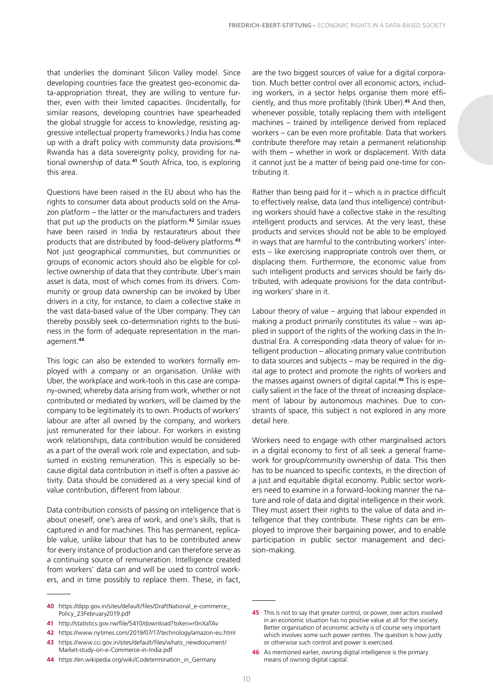that underlies the dominant Silicon Valley model. Since developing countries face the greatest geo-economic data-appropriation threat, they are willing to venture further, even with their limited capacities. (Incidentally, for similar reasons, developing countries have spearheaded the global struggle for access to knowledge, resisting aggressive intellectual property frameworks.) India has come up with a draft policy with community data provisions.**<sup>40</sup>** Rwanda has a data sovereignty policy, providing for national ownership of data.**<sup>41</sup>** South Africa, too, is exploring this area.

Questions have been raised in the EU about who has the rights to consumer data about products sold on the Amazon platform – the latter or the manufacturers and traders that put up the products on the platform.**<sup>42</sup>** Similar issues have been raised in India by restaurateurs about their products that are distributed by food-delivery platforms.**<sup>43</sup>** Not just geographical communities, but communities or groups of economic actors should also be eligible for collective ownership of data that they contribute. Uber's main asset is data, most of which comes from its drivers. Community or group data ownership can be invoked by Uber drivers in a city, for instance, to claim a collective stake in the vast data-based value of the Uber company. They can thereby possibly seek co-determination rights to the business in the form of adequate representation in the management.**<sup>44</sup>**

This logic can also be extended to workers formally employed with a company or an organisation. Unlike with Uber, the workplace and work-tools in this case are company-owned; whereby data arising from work, whether or not contributed or mediated by workers, will be claimed by the company to be legitimately its to own. Products of workers' labour are after all owned by the company, and workers just remunerated for their labour. For workers in existing work relationships, data contribution would be considered as a part of the overall work role and expectation, and subsumed in existing remuneration. This is especially so because digital data contribution in itself is often a passive activity. Data should be considered as a very special kind of value contribution, different from labour.

Data contribution consists of passing on intelligence that is about oneself, one's area of work, and one's skills, that is captured in and for machines. This has permanent, replicable value, unlike labour that has to be contributed anew for every instance of production and can therefore serve as a continuing source of remuneration. Intelligence created from workers' data can and will be used to control workers, and in time possibly to replace them. These, in fact,

**40** [https://dipp.gov.in/sites/default/files/DraftNational\\_e-commerce\\_](https://dipp.gov.in/sites/default/files/DraftNational_e-commerce_Policy_23February2019.pdf) [Policy\\_23February2019.pdf](https://dipp.gov.in/sites/default/files/DraftNational_e-commerce_Policy_23February2019.pdf)

- **41** <http://statistics.gov.rw/file/5410/download?token=r0nXaTAv>
- **42** <https://www.nytimes.com/2019/07/17/technology/amazon-eu.html>
- **43** [https://www.cci.gov.in/sites/default/files/whats\\_newdocument/](https://www.cci.gov.in/sites/default/files/whats_newdocument/Market-study-on-e-Commerce-in-India.pdf) [Market-study-on-e-Commerce-in-India.pdf](https://www.cci.gov.in/sites/default/files/whats_newdocument/Market-study-on-e-Commerce-in-India.pdf)
- **44** [https://en.wikipedia.org/wiki/Codetermination\\_in\\_Germany](https://en.wikipedia.org/wiki/Codetermination_in_Germany)

are the two biggest sources of value for a digital corporation. Much better control over all economic actors, including workers, in a sector helps organise them more efficiently, and thus more profitably (think Uber).**<sup>45</sup>** And then, whenever possible, totally replacing them with intelligent machines – trained by intelligence derived from replaced workers – can be even more profitable. Data that workers contribute therefore may retain a permanent relationship with them – whether in work or displacement. With data it cannot just be a matter of being paid one-time for contributing it.

Rather than being paid for it – which is in practice difficult to effectively realise, data (and thus intelligence) contributing workers should have a collective stake in the resulting intelligent products and services. At the very least, these products and services should not be able to be employed in ways that are harmful to the contributing workers' interests – like exercising inappropriate controls over them, or displacing them. Furthermore, the economic value from such intelligent products and services should be fairly distributed, with adequate provisions for the data contributing workers' share in it.

Labour theory of value – arguing that labour expended in making a product primarily constitutes its value – was applied in support of the rights of the working class in the Industrial Era. A corresponding ›data theory of value‹ for intelligent production – allocating primary value contribution to data sources and subjects – may be required in the digital age to protect and promote the rights of workers and the masses against owners of digital capital.**46** This is especially salient in the face of the threat of increasing displacement of labour by autonomous machines. Due to constraints of space, this subject is not explored in any more detail here.

Workers need to engage with other marginalised actors in a digital economy to first of all seek a general framework for group/community ownership of data. This then has to be nuanced to specific contexts, in the direction of a just and equitable digital economy. Public sector workers need to examine in a forward-looking manner the nature and role of data and digital intelligence in their work. They must assert their rights to the value of data and intelligence that they contribute. These rights can be employed to improve their bargaining power, and to enable participation in public sector management and decision-making.

**<sup>45</sup>** This is not to say that greater control, or power, over actors involved in an economic situation has no positive value at all for the society. Better organisation of economic activity is of course very important which involves some such power centres. The question is how justly or otherwise such control and power is exercised.

**<sup>46</sup>** As mentioned earlier, owning digital intelligence is the primary means of owning digital capital.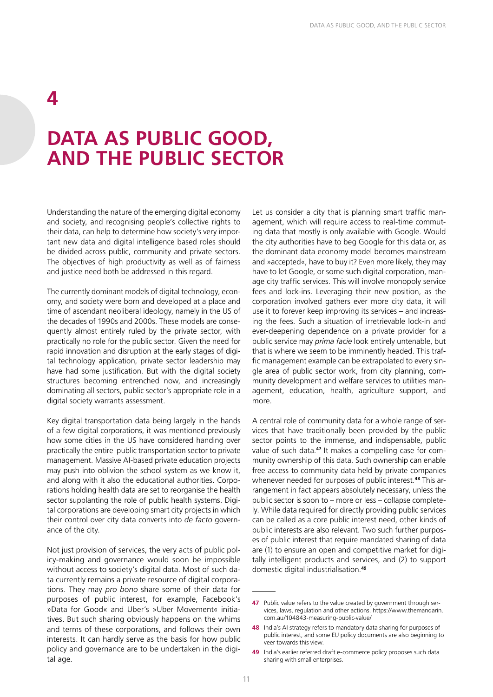### **4**

### **DATA AS PUBLIC GOOD, AND THE PUBLIC SECTOR**

Understanding the nature of the emerging digital economy and society, and recognising people's collective rights to their data, can help to determine how society's very important new data and digital intelligence based roles should be divided across public, community and private sectors. The objectives of high productivity as well as of fairness and justice need both be addressed in this regard.

The currently dominant models of digital technology, economy, and society were born and developed at a place and time of ascendant neoliberal ideology, namely in the US of the decades of 1990s and 2000s. These models are consequently almost entirely ruled by the private sector, with practically no role for the public sector. Given the need for rapid innovation and disruption at the early stages of digital technology application, private sector leadership may have had some justification. But with the digital society structures becoming entrenched now, and increasingly dominating all sectors, public sector's appropriate role in a digital society warrants assessment.

Key digital transportation data being largely in the hands of a few digital corporations, it was mentioned previously how some cities in the US have considered handing over practically the entire public transportation sector to private management. Massive AI-based private education projects may push into oblivion the school system as we know it, and along with it also the educational authorities. Corporations holding health data are set to reorganise the health sector supplanting the role of public health systems. Digital corporations are developing smart city projects in which their control over city data converts into *de facto* governance of the city.

Not just provision of services, the very acts of public policy-making and governance would soon be impossible without access to society's digital data. Most of such data currently remains a private resource of digital corporations. They may *pro bono* share some of their data for purposes of public interest, for example, Facebook's »Data for Good« and Uber's »Uber Movement« initiatives. But such sharing obviously happens on the whims and terms of these corporations, and follows their own interests. It can hardly serve as the basis for how public policy and governance are to be undertaken in the digital age.

Let us consider a city that is planning smart traffic management, which will require access to real-time commuting data that mostly is only available with Google. Would the city authorities have to beg Google for this data or, as the dominant data economy model becomes mainstream and »accepted«, have to buy it? Even more likely, they may have to let Google, or some such digital corporation, manage city traffic services. This will involve monopoly service fees and lock-ins. Leveraging their new position, as the corporation involved gathers ever more city data, it will use it to forever keep improving its services – and increasing the fees. Such a situation of irretrievable lock-in and ever-deepening dependence on a private provider for a public service may *prima facie* look entirely untenable, but that is where we seem to be imminently headed. This traffic management example can be extrapolated to every single area of public sector work, from city planning, community development and welfare services to utilities management, education, health, agriculture support, and more.

A central role of community data for a whole range of services that have traditionally been provided by the public sector points to the immense, and indispensable, public value of such data.**47** It makes a compelling case for community ownership of this data. Such ownership can enable free access to community data held by private companies whenever needed for purposes of public interest.**48** This arrangement in fact appears absolutely necessary, unless the public sector is soon to – more or less – collapse completely. While data required for directly providing public services can be called as a core public interest need, other kinds of public interests are also relevant. Two such further purposes of public interest that require mandated sharing of data are (1) to ensure an open and competitive market for digitally intelligent products and services, and (2) to support domestic digital industrialisation.**<sup>49</sup>**

**<sup>47</sup>** Public value refers to the value created by government through services, laws, regulation and other actions. [https://www.themandarin.](https://www.themandarin.com.au/104843-measuring-public-value/) [com.au/104843-measuring-public-value/](https://www.themandarin.com.au/104843-measuring-public-value/)

**<sup>48</sup>** India's AI strategy refers to mandatory data sharing for purposes of public interest, and some EU policy documents are also beginning to veer towards this view.

**<sup>49</sup>** India's earlier referred draft e-commerce policy proposes such data sharing with small enterprises.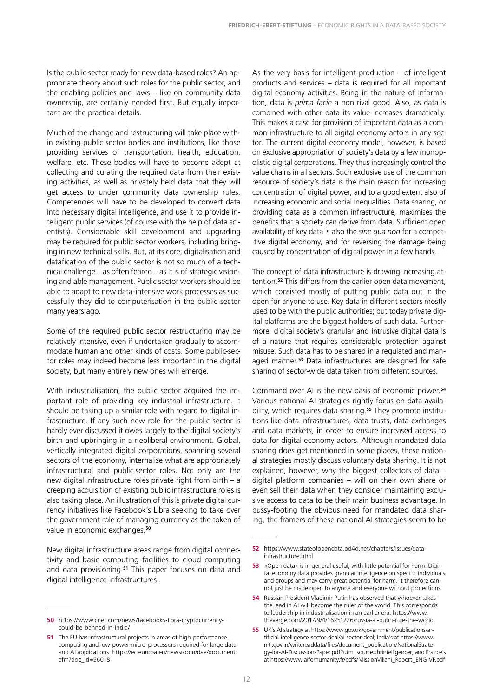Is the public sector ready for new data-based roles? An appropriate theory about such roles for the public sector, and the enabling policies and laws – like on community data ownership, are certainly needed first. But equally important are the practical details.

Much of the change and restructuring will take place within existing public sector bodies and institutions, like those providing services of transportation, health, education, welfare, etc. These bodies will have to become adept at collecting and curating the required data from their existing activities, as well as privately held data that they will get access to under community data ownership rules. Competencies will have to be developed to convert data into necessary digital intelligence, and use it to provide intelligent public services (of course with the help of data scientists). Considerable skill development and upgrading may be required for public sector workers, including bringing in new technical skills. But, at its core, digitalisation and datafication of the public sector is not so much of a technical challenge – as often feared – as it is of strategic visioning and able management. Public sector workers should be able to adapt to new data-intensive work processes as successfully they did to computerisation in the public sector many years ago.

Some of the required public sector restructuring may be relatively intensive, even if undertaken gradually to accommodate human and other kinds of costs. Some public-sector roles may indeed become less important in the digital society, but many entirely new ones will emerge.

With industrialisation, the public sector acquired the important role of providing key industrial infrastructure. It should be taking up a similar role with regard to digital infrastructure. If any such new role for the public sector is hardly ever discussed it owes largely to the digital society's birth and upbringing in a neoliberal environment. Global, vertically integrated digital corporations, spanning several sectors of the economy, internalise what are appropriately infrastructural and public-sector roles. Not only are the new digital infrastructure roles private right from birth – a creeping acquisition of existing public infrastructure roles is also taking place. An illustration of this is private digital currency initiatives like Facebook's Libra seeking to take over the government role of managing currency as the token of value in economic exchanges.**<sup>50</sup>**

New digital infrastructure areas range from digital connectivity and basic computing facilities to cloud computing and data provisioning.**<sup>51</sup>** This paper focuses on data and digital intelligence infrastructures.

As the very basis for intelligent production  $-$  of intelligent products and services – data is required for all important digital economy activities. Being in the nature of information, data is *prima facie* a non-rival good. Also, as data is combined with other data its value increases dramatically. This makes a case for provision of important data as a common infrastructure to all digital economy actors in any sector. The current digital economy model, however, is based on exclusive appropriation of society's data by a few monopolistic digital corporations. They thus increasingly control the value chains in all sectors. Such exclusive use of the common resource of society's data is the main reason for increasing concentration of digital power, and to a good extent also of increasing economic and social inequalities. Data sharing, or providing data as a common infrastructure, maximises the benefits that a society can derive from data. Sufficient open availability of key data is also the *sine qua non* for a competitive digital economy, and for reversing the damage being caused by concentration of digital power in a few hands.

The concept of data infrastructure is drawing increasing attention.**<sup>52</sup>** This differs from the earlier open data movement, which consisted mostly of putting public data out in the open for anyone to use. Key data in different sectors mostly used to be with the public authorities; but today private digital platforms are the biggest holders of such data. Furthermore, digital society's granular and intrusive digital data is of a nature that requires considerable protection against misuse. Such data has to be shared in a regulated and managed manner.**<sup>53</sup>** Data infrastructures are designed for safe sharing of sector-wide data taken from different sources.

Command over AI is the new basis of economic power.**<sup>54</sup>** Various national AI strategies rightly focus on data availability, which requires data sharing.**55** They promote institutions like data infrastructures, data trusts, data exchanges and data markets, in order to ensure increased access to data for digital economy actors. Although mandated data sharing does get mentioned in some places, these national strategies mostly discuss voluntary data sharing. It is not explained, however, why the biggest collectors of data – digital platform companies – will on their own share or even sell their data when they consider maintaining exclusive access to data to be their main business advantage. In pussy-footing the obvious need for mandated data sharing, the framers of these national AI strategies seem to be

**<sup>50</sup>** [https://www.cnet.com/news/facebooks-libra-cryptocurrency](https://www.cnet.com/news/facebooks-libra-cryptocurrency-could-be-banned-in-india/)[could-be-banned-in-india/](https://www.cnet.com/news/facebooks-libra-cryptocurrency-could-be-banned-in-india/)

**<sup>51</sup>** The EU has infrastructural projects in areas of high-performance computing and low-power micro-processors required for large data and AI applications. [https://ec.europa.eu/newsroom/dae/document.](https://ec.europa.eu/newsroom/dae/document.cfm?doc_id=56018) [cfm?doc\\_id=56018](https://ec.europa.eu/newsroom/dae/document.cfm?doc_id=56018)

**<sup>52</sup>** [https://www.stateofopendata.od4d.net/chapters/issues/data](https://www.stateofopendata.od4d.net/chapters/issues/data-infrastructure.html)[infrastructure.html](https://www.stateofopendata.od4d.net/chapters/issues/data-infrastructure.html)

**<sup>53</sup>** »Open data« is in general useful, with little potential for harm. Digital economy data provides granular intelligence on specific individuals and groups and may carry great potential for harm. It therefore cannot just be made open to anyone and everyone without protections.

**<sup>54</sup>** Russian President Vladimir Putin has observed that whoever takes the lead in AI will become the ruler of the world. This corresponds to leadership in industrialisation in an earlier era. [https://www.](https://www.theverge.com/2017/9/4/16251226/russia-ai-putin-rule-the-world) [theverge.com/2017/9/4/16251226/russia-ai-putin-rule-the-world](https://www.theverge.com/2017/9/4/16251226/russia-ai-putin-rule-the-world)

**<sup>55</sup>** UK's AI strategy at [https://www.gov.uk/government/publications/ar](https://www.gov.uk/government/publications/artificial-intelligence-sector-deal/ai-sector-deal)[tificial-intelligence-sector-deal/ai-sector-deal;](https://www.gov.uk/government/publications/artificial-intelligence-sector-deal/ai-sector-deal) India's at [https://www.](https://www.niti.gov.in/writereaddata/files/document_publication/NationalStrategy-for-AI-Discussion-Paper.pdf?utm_source=hrintelligencer) [niti.gov.in/writereaddata/files/document\\_publication/NationalStrate](https://www.niti.gov.in/writereaddata/files/document_publication/NationalStrategy-for-AI-Discussion-Paper.pdf?utm_source=hrintelligencer)[gy-for-AI-Discussion-Paper.pdf?utm\\_source=hrintelligencer;](https://www.niti.gov.in/writereaddata/files/document_publication/NationalStrategy-for-AI-Discussion-Paper.pdf?utm_source=hrintelligencer) and France's at [https://www.aiforhumanity.fr/pdfs/MissionVillani\\_Report\\_ENG-VF.pdf](https://www.aiforhumanity.fr/pdfs/MissionVillani_Report_ENG-VF.pdf)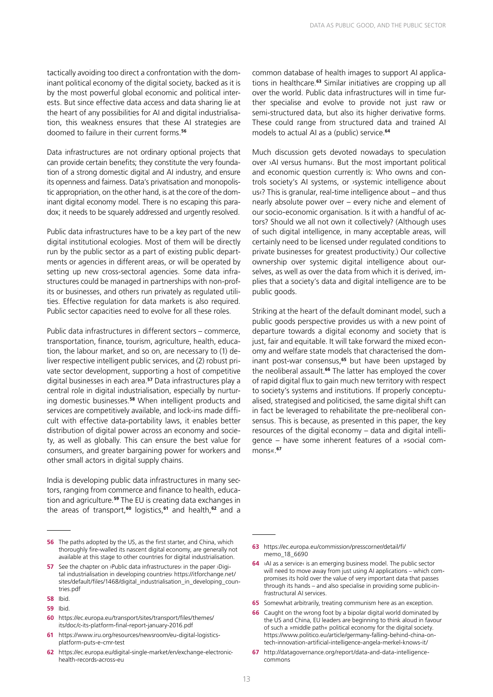tactically avoiding too direct a confrontation with the dominant political economy of the digital society, backed as it is by the most powerful global economic and political interests. But since effective data access and data sharing lie at the heart of any possibilities for AI and digital industrialisation, this weakness ensures that these AI strategies are doomed to failure in their current forms.**<sup>56</sup>**

Data infrastructures are not ordinary optional projects that can provide certain benefits; they constitute the very foundation of a strong domestic digital and AI industry, and ensure its openness and fairness. Data's privatisation and monopolistic appropriation, on the other hand, is at the core of the dominant digital economy model. There is no escaping this paradox; it needs to be squarely addressed and urgently resolved.

Public data infrastructures have to be a key part of the new digital institutional ecologies. Most of them will be directly run by the public sector as a part of existing public departments or agencies in different areas, or will be operated by setting up new cross-sectoral agencies. Some data infrastructures could be managed in partnerships with non-profits or businesses, and others run privately as regulated utilities. Effective regulation for data markets is also required. Public sector capacities need to evolve for all these roles.

Public data infrastructures in different sectors – commerce, transportation, finance, tourism, agriculture, health, education, the labour market, and so on, are necessary to (1) deliver respective intelligent public services, and (2) robust private sector development, supporting a host of competitive digital businesses in each area.**<sup>57</sup>** Data infrastructures play a central role in digital industrialisation, especially by nurturing domestic businesses.**<sup>58</sup>** When intelligent products and services are competitively available, and lock-ins made difficult with effective data-portability laws, it enables better distribution of digital power across an economy and society, as well as globally. This can ensure the best value for consumers, and greater bargaining power for workers and other small actors in digital supply chains.

India is developing public data infrastructures in many sectors, ranging from commerce and finance to health, education and agriculture.**<sup>59</sup>** The EU is creating data exchanges in the areas of transport,**<sup>60</sup>** logistics,**<sup>61</sup>** and health,**<sup>62</sup>** and a

**60** [https://ec.europa.eu/transport/sites/transport/files/themes/](https://ec.europa.eu/transport/sites/transport/files/themes/its/doc/c-its-platform-final-report-january-2016.pdf) [its/doc/c-its-platform-final-report-january-2016.pdf](https://ec.europa.eu/transport/sites/transport/files/themes/its/doc/c-its-platform-final-report-january-2016.pdf)

common database of health images to support AI applications in healthcare.**<sup>63</sup>** Similar initiatives are cropping up all over the world. Public data infrastructures will in time further specialise and evolve to provide not just raw or semi-structured data, but also its higher derivative forms. These could range from structured data and trained AI models to actual AI as a (public) service.**<sup>64</sup>**

Much discussion gets devoted nowadays to speculation over ›AI versus humans‹. But the most important political and economic question currently is: Who owns and controls society's AI systems, or ›systemic intelligence about us‹? This is granular, real-time intelligence about – and thus nearly absolute power over – every niche and element of our socio-economic organisation. Is it with a handful of actors? Should we all not own it collectively? (Although uses of such digital intelligence, in many acceptable areas, will certainly need to be licensed under regulated conditions to private businesses for greatest productivity.) Our collective ownership over systemic digital intelligence about ourselves, as well as over the data from which it is derived, implies that a society's data and digital intelligence are to be public goods.

Striking at the heart of the default dominant model, such a public goods perspective provides us with a new point of departure towards a digital economy and society that is just, fair and equitable. It will take forward the mixed economy and welfare state models that characterised the dominant post-war consensus,**<sup>65</sup>** but have been upstaged by the neoliberal assault.**<sup>66</sup>** The latter has employed the cover of rapid digital flux to gain much new territory with respect to society's systems and institutions. If properly conceptualised, strategised and politicised, the same digital shift can in fact be leveraged to rehabilitate the pre-neoliberal consensus. This is because, as presented in this paper, the key resources of the digital economy – data and digital intelligence – have some inherent features of a »social commons«.**<sup>67</sup>**

- **63** [https://ec.europa.eu/commission/presscorner/detail/fi/](https://ec.europa.eu/commission/presscorner/detail/fi/memo_18_6690) [memo\\_18\\_6690](https://ec.europa.eu/commission/presscorner/detail/fi/memo_18_6690)
- **64** ›AI as a service‹ is an emerging business model. The public sector will need to move away from just using AI applications – which compromises its hold over the value of very important data that passes through its hands – and also specialise in providing some public-infrastructural AI services.
- **65** Somewhat arbitrarily, treating communism here as an exception.
- **66** Caught on the wrong foot by a bipolar digital world dominated by the US and China, EU leaders are beginning to think aloud in favour of such a »middle path« political economy for the digital society. [https://www.politico.eu/article/germany-falling-behind-china-on](https://www.politico.eu/article/germany-falling-behind-china-on-tech-innovation-artificial-intelligence-angela-merkel-knows-it/)[tech-innovation-artificial-intelligence-angela-merkel-knows-it/](https://www.politico.eu/article/germany-falling-behind-china-on-tech-innovation-artificial-intelligence-angela-merkel-knows-it/)
- **67** [http://datagovernance.org/report/data-and-data-intelligence](http://datagovernance.org/report/data-and-data-intelligence-commons)[commons](http://datagovernance.org/report/data-and-data-intelligence-commons)

**<sup>56</sup>** The paths adopted by the US, as the first starter, and China, which thoroughly fire-walled its nascent digital economy, are generally not available at this stage to other countries for digital industrialisation.

**<sup>57</sup>** See the chapter on ›Public data infrastructures‹ in the paper ›Digital industrialisation in developing countries‹ [https://itforchange.net/](https://itforchange.net/sites/default/files/1468/digital_industrialisation_in_developing_countries.pdf) [sites/default/files/1468/digital\\_industrialisation\\_in\\_developing\\_coun](https://itforchange.net/sites/default/files/1468/digital_industrialisation_in_developing_countries.pdf)[tries.pdf](https://itforchange.net/sites/default/files/1468/digital_industrialisation_in_developing_countries.pdf)

**<sup>58</sup>** Ibid.

**<sup>59</sup>** Ibid.

**<sup>61</sup>** [https://www.iru.org/resources/newsroom/eu-digital-logistics](https://www.iru.org/resources/newsroom/eu-digital-logistics-platform-puts-e-cmr-test)[platform-puts-e-cmr-test](https://www.iru.org/resources/newsroom/eu-digital-logistics-platform-puts-e-cmr-test)

**<sup>62</sup>** [https://ec.europa.eu/digital-single-market/en/exchange-electronic](https://ec.europa.eu/digital-single-market/en/exchange-electronic-health-records-across-eu)[health-records-across-eu](https://ec.europa.eu/digital-single-market/en/exchange-electronic-health-records-across-eu)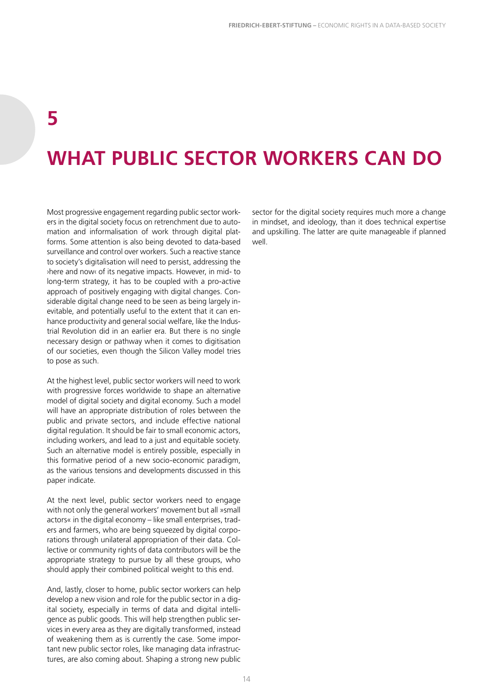### **5**

## **WHAT PUBLIC SECTOR WORKERS CAN DO**

Most progressive engagement regarding public sector workers in the digital society focus on retrenchment due to automation and informalisation of work through digital platforms. Some attention is also being devoted to data-based surveillance and control over workers. Such a reactive stance to society's digitalisation will need to persist, addressing the ›here and now‹ of its negative impacts. However, in mid- to long-term strategy, it has to be coupled with a pro-active approach of positively engaging with digital changes. Considerable digital change need to be seen as being largely inevitable, and potentially useful to the extent that it can enhance productivity and general social welfare, like the Industrial Revolution did in an earlier era. But there is no single necessary design or pathway when it comes to digitisation of our societies, even though the Silicon Valley model tries to pose as such.

At the highest level, public sector workers will need to work with progressive forces worldwide to shape an alternative model of digital society and digital economy. Such a model will have an appropriate distribution of roles between the public and private sectors, and include effective national digital regulation. It should be fair to small economic actors, including workers, and lead to a just and equitable society. Such an alternative model is entirely possible, especially in this formative period of a new socio-economic paradigm, as the various tensions and developments discussed in this paper indicate.

At the next level, public sector workers need to engage with not only the general workers' movement but all »small actors« in the digital economy – like small enterprises, traders and farmers, who are being squeezed by digital corporations through unilateral appropriation of their data. Collective or community rights of data contributors will be the appropriate strategy to pursue by all these groups, who should apply their combined political weight to this end.

And, lastly, closer to home, public sector workers can help develop a new vision and role for the public sector in a digital society, especially in terms of data and digital intelligence as public goods. This will help strengthen public services in every area as they are digitally transformed, instead of weakening them as is currently the case. Some important new public sector roles, like managing data infrastructures, are also coming about. Shaping a strong new public sector for the digital society requires much more a change in mindset, and ideology, than it does technical expertise and upskilling. The latter are quite manageable if planned well.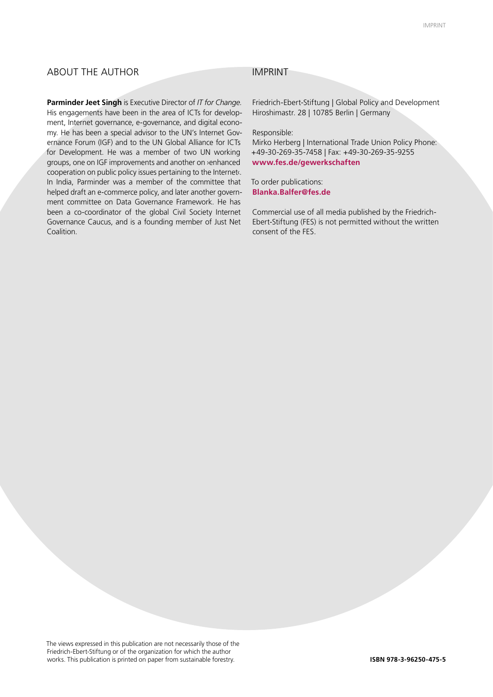### ABOUT THE AUTHOR IMPRINT

**Parminder Jeet Singh** is Executive Director of *IT for Change.* His engagements have been in the area of ICTs for development, Internet governance, e-governance, and digital economy. He has been a special advisor to the UN's Internet Governance Forum (IGF) and to the UN Global Alliance for ICTs for Development. He was a member of two UN working groups, one on IGF improvements and another on ›enhanced cooperation on public policy issues pertaining to the Internet‹. In India, Parminder was a member of the committee that helped draft an e-commerce policy, and later another government committee on Data Governance Framework. He has been a co-coordinator of the global Civil Society Internet Governance Caucus, and is a founding member of Just Net Coalition.

Friedrich-Ebert-Stiftung | Global Policy and Development Hiroshimastr. 28 | 10785 Berlin | Germany

Responsible:

Mirko Herberg | International Trade Union Policy Phone: +49-30-269-35-7458 | Fax: +49-30-269-35-9255 **www.fes.de/gewerkschaften**

To order publications: **Blanka.Balfer@fes.de**

Commercial use of all media published by the Friedrich-Ebert-Stiftung (FES) is not permitted without the written consent of the FES.